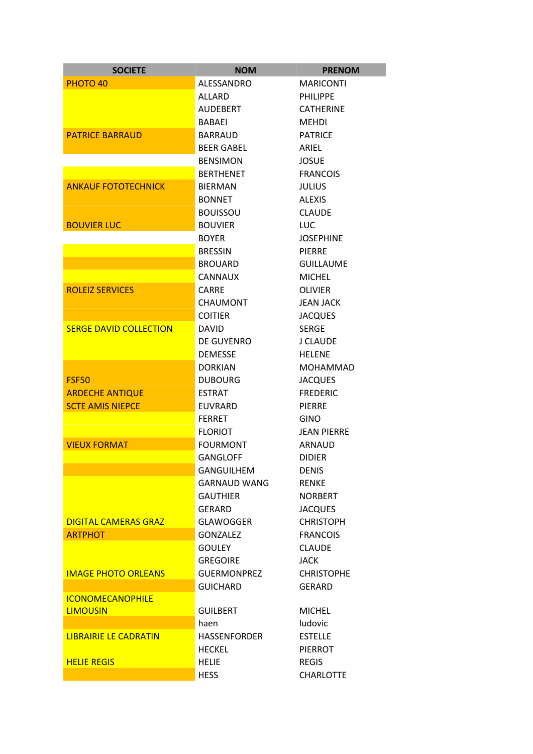| <b>SOCIETE</b>                | <b>NOM</b>          | <b>PRENOM</b>      |
|-------------------------------|---------------------|--------------------|
| PHOTO <sub>40</sub>           | ALESSANDRO          | <b>MARICONTI</b>   |
|                               | ALLARD              | <b>PHILIPPE</b>    |
|                               | <b>AUDEBERT</b>     | <b>CATHERINE</b>   |
|                               | BABAEI              | <b>MEHDI</b>       |
| <b>PATRICE BARRAUD</b>        | BARRAUD             | <b>PATRICE</b>     |
|                               | <b>BEER GABEL</b>   | ARIEL              |
|                               | <b>BENSIMON</b>     | <b>JOSUE</b>       |
|                               | <b>BERTHENET</b>    | <b>FRANCOIS</b>    |
| <b>ANKAUF FOTOTECHNICK</b>    | <b>BIERMAN</b>      | <b>JULIUS</b>      |
|                               | <b>BONNET</b>       | <b>ALEXIS</b>      |
|                               | <b>BOUISSOU</b>     | <b>CLAUDE</b>      |
| <b>BOUVIER LUC</b>            | <b>BOUVIER</b>      | <b>LUC</b>         |
|                               | <b>BOYER</b>        | <b>JOSEPHINE</b>   |
|                               | <b>BRESSIN</b>      | PIERRE             |
|                               | <b>BROUARD</b>      | <b>GUILLAUME</b>   |
|                               | CANNAUX             | <b>MICHEL</b>      |
| <b>ROLEIZ SERVICES</b>        | CARRE               | <b>OLIVIER</b>     |
|                               | <b>CHAUMONT</b>     | <b>JEAN JACK</b>   |
|                               | <b>COITIER</b>      | <b>JACQUES</b>     |
| <b>SERGE DAVID COLLECTION</b> | <b>DAVID</b>        | <b>SERGE</b>       |
|                               | DE GUYENRO          | J CLAUDE           |
|                               | <b>DEMESSE</b>      | <b>HELENE</b>      |
|                               | <b>DORKIAN</b>      | <b>MOHAMMAD</b>    |
| <b>FSF50</b>                  | <b>DUBOURG</b>      | <b>JACQUES</b>     |
| <b>ARDECHE ANTIQUE</b>        | <b>ESTRAT</b>       | <b>FREDERIC</b>    |
| <b>SCTE AMIS NIEPCE</b>       | <b>EUVRARD</b>      | <b>PIERRE</b>      |
|                               | <b>FERRET</b>       | GINO               |
|                               | <b>FLORIOT</b>      | <b>JEAN PIERRE</b> |
| <b>VIEUX FORMAT</b>           | <b>FOURMONT</b>     | ARNAUD             |
|                               | <b>GANGLOFF</b>     | <b>DIDIER</b>      |
|                               | <b>GANGUILHEM</b>   | <b>DENIS</b>       |
|                               | <b>GARNAUD WANG</b> | <b>RENKE</b>       |
|                               | <b>GAUTHIER</b>     | <b>NORBERT</b>     |
|                               | GERARD              | <b>JACQUES</b>     |
| <b>DIGITAL CAMERAS GRAZ</b>   | <b>GLAWOGGER</b>    | <b>CHRISTOPH</b>   |
| <b>ARTPHOT</b>                | <b>GONZALEZ</b>     | <b>FRANCOIS</b>    |
|                               | <b>GOULEY</b>       | <b>CLAUDE</b>      |
|                               | <b>GREGOIRE</b>     | <b>JACK</b>        |
| <b>IMAGE PHOTO ORLEANS</b>    | <b>GUERMONPREZ</b>  | <b>CHRISTOPHE</b>  |
|                               | <b>GUICHARD</b>     | GERARD             |
| <b>ICONOMECANOPHILE</b>       |                     |                    |
| <b>LIMOUSIN</b>               | <b>GUILBERT</b>     | <b>MICHEL</b>      |
|                               | haen                | <b>ludovic</b>     |
| <b>LIBRAIRIE LE CADRATIN</b>  | <b>HASSENFORDER</b> | <b>ESTELLE</b>     |
|                               | <b>HECKEL</b>       | <b>PIERROT</b>     |
| <b>HELIE REGIS</b>            | <b>HELIE</b>        | <b>REGIS</b>       |
|                               | <b>HESS</b>         | <b>CHARLOTTE</b>   |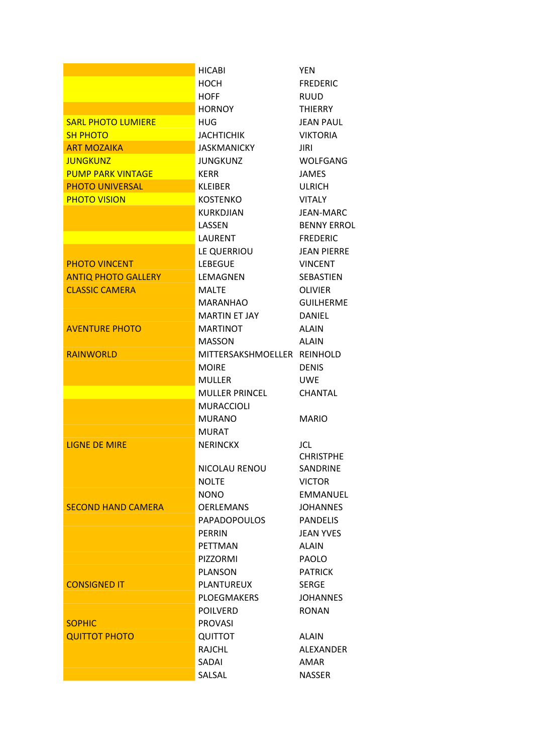|                            | <b>HICABI</b>               | <b>YEN</b>         |
|----------------------------|-----------------------------|--------------------|
|                            | HOCH                        | <b>FREDERIC</b>    |
|                            | HOFF                        | <b>RUUD</b>        |
|                            | <b>HORNOY</b>               | <b>THIERRY</b>     |
| <b>SARL PHOTO LUMIERE</b>  | HUG                         | <b>JEAN PAUL</b>   |
| <b>SH PHOTO</b>            | <b>JACHTICHIK</b>           | <b>VIKTORIA</b>    |
| <b>ART MOZAIKA</b>         | JASKMANICKY                 | JIRI               |
| <b>JUNGKUNZ</b>            | <b>JUNGKUNZ</b>             | WOLFGANG           |
| <b>PUMP PARK VINTAGE</b>   | KFRR                        | <b>JAMES</b>       |
| <b>PHOTO UNIVERSAL</b>     | <b>KLEIBER</b>              | <b>ULRICH</b>      |
| <b>PHOTO VISION</b>        | KOSTENKO                    | <b>VITALY</b>      |
|                            | <b>KURKDJIAN</b>            | JEAN-MARC          |
|                            | LASSEN                      | <b>BENNY ERROL</b> |
|                            | LAURENT                     | <b>FREDERIC</b>    |
|                            | LE QUERRIOU                 | <b>JEAN PIERRE</b> |
| <b>PHOTO VINCENT</b>       | <b>LEBEGUE</b>              | <b>VINCENT</b>     |
| <b>ANTIQ PHOTO GALLERY</b> | <b>LEMAGNEN</b>             | <b>SEBASTIEN</b>   |
| <b>CLASSIC CAMERA</b>      | <b>MALTE</b>                | <b>OLIVIER</b>     |
|                            | <b>MARANHAO</b>             | <b>GUILHERME</b>   |
|                            | <b>MARTIN ET JAY</b>        | <b>DANIEL</b>      |
| <b>AVENTURE PHOTO</b>      | <b>MARTINOT</b>             | <b>ALAIN</b>       |
|                            | MASSON                      | <b>ALAIN</b>       |
| <b>RAINWORLD</b>           | MITTERSAKSHMOELLER REINHOLD |                    |
|                            | <b>MOIRE</b>                | <b>DENIS</b>       |
|                            | <b>MULLER</b>               | <b>UWE</b>         |
|                            | <b>MULLER PRINCEL</b>       | <b>CHANTAL</b>     |
|                            | <b>MURACCIOLI</b>           |                    |
|                            | <b>MURANO</b>               | <b>MARIO</b>       |
|                            | <b>MURAT</b>                |                    |
| <b>LIGNE DE MIRE</b>       | <b>NERINCKX</b>             | JCL.               |
|                            |                             | <b>CHRISTPHE</b>   |
|                            | NICOLAU RENOU               | SANDRINE           |
|                            | <b>NOLTE</b>                | <b>VICTOR</b>      |
|                            | <b>NONO</b>                 | <b>EMMANUEL</b>    |
| <b>SECOND HAND CAMERA</b>  | <b>OERLEMANS</b>            | <b>JOHANNES</b>    |
|                            | <b>PAPADOPOULOS</b>         | <b>PANDELIS</b>    |
|                            | <b>PERRIN</b>               | <b>JEAN YVES</b>   |
|                            | <b>PETTMAN</b>              | ALAIN              |
|                            | <b>PIZZORMI</b>             | <b>PAOLO</b>       |
|                            | <b>PLANSON</b>              | <b>PATRICK</b>     |
| <b>CONSIGNED IT</b>        | <b>PLANTUREUX</b>           | <b>SERGE</b>       |
|                            | <b>PLOEGMAKERS</b>          | <b>JOHANNES</b>    |
|                            | <b>POILVERD</b>             | <b>RONAN</b>       |
| <b>SOPHIC</b>              | <b>PROVASI</b>              |                    |
| <b>QUITTOT PHOTO</b>       | QUITTOT                     | <b>ALAIN</b>       |
|                            | <b>RAJCHL</b>               | ALEXANDER          |
|                            | SADAI                       | AMAR               |
|                            | SALSAL                      | <b>NASSER</b>      |